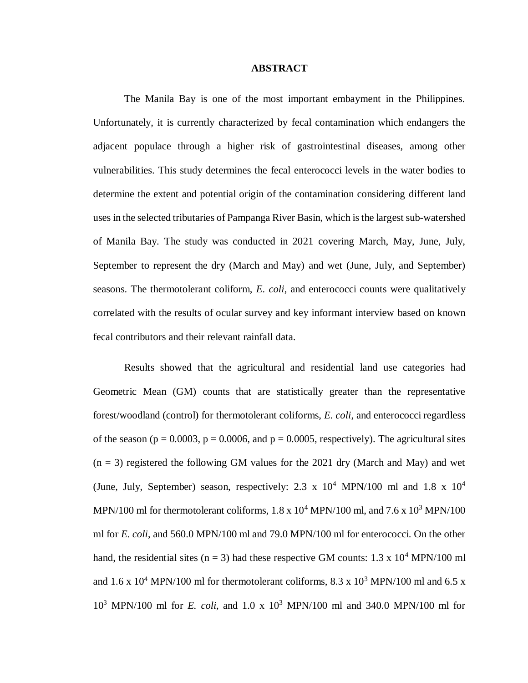## **ABSTRACT**

The Manila Bay is one of the most important embayment in the Philippines. Unfortunately, it is currently characterized by fecal contamination which endangers the adjacent populace through a higher risk of gastrointestinal diseases, among other vulnerabilities. This study determines the fecal enterococci levels in the water bodies to determine the extent and potential origin of the contamination considering different land uses in the selected tributaries of Pampanga River Basin, which is the largest sub-watershed of Manila Bay. The study was conducted in 2021 covering March, May, June, July, September to represent the dry (March and May) and wet (June, July, and September) seasons. The thermotolerant coliform, *E. coli*, and enterococci counts were qualitatively correlated with the results of ocular survey and key informant interview based on known fecal contributors and their relevant rainfall data.

Results showed that the agricultural and residential land use categories had Geometric Mean (GM) counts that are statistically greater than the representative forest/woodland (control) for thermotolerant coliforms, *E. coli*, and enterococci regardless of the season ( $p = 0.0003$ ,  $p = 0.0006$ , and  $p = 0.0005$ , respectively). The agricultural sites  $(n = 3)$  registered the following GM values for the 2021 dry (March and May) and wet (June, July, September) season, respectively: 2.3 x  $10^4$  MPN/100 ml and 1.8 x  $10^4$ MPN/100 ml for thermotolerant coliforms,  $1.8 \times 10^4$  MPN/100 ml, and  $7.6 \times 10^3$  MPN/100 ml for *E. coli*, and 560.0 MPN/100 ml and 79.0 MPN/100 ml for enterococci. On the other hand, the residential sites (n = 3) had these respective GM counts:  $1.3 \times 10^4$  MPN/100 ml and  $1.6 \times 10^4$  MPN/100 ml for thermotolerant coliforms,  $8.3 \times 10^3$  MPN/100 ml and  $6.5 \times$ 10<sup>3</sup> MPN/100 ml for *E. coli*, and 1.0 x 10<sup>3</sup> MPN/100 ml and 340.0 MPN/100 ml for